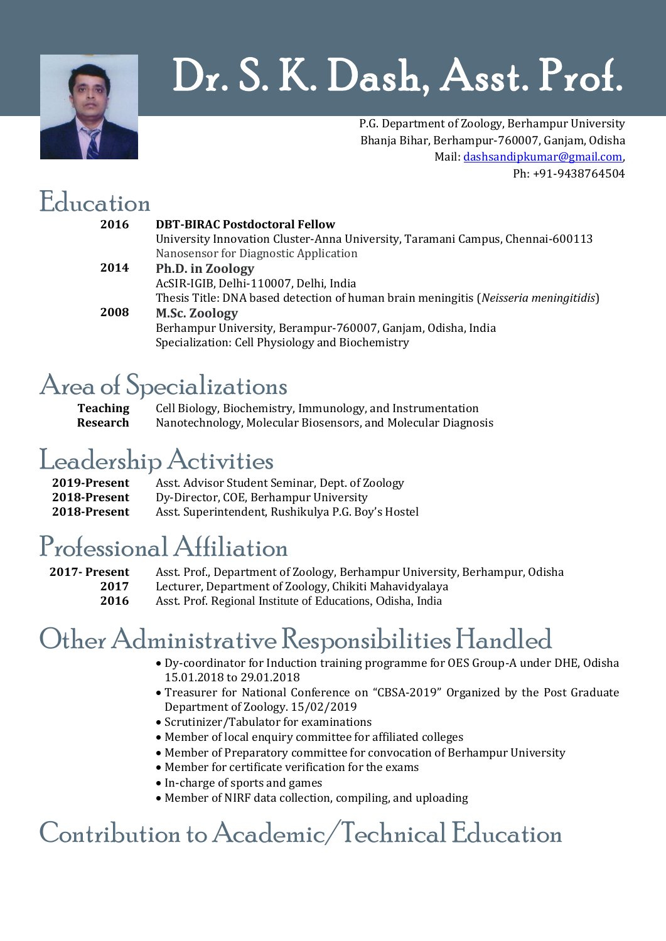

# Dr. S. K. Dash, Asst. Prof.

P.G. Department of Zoology, Berhampur University Bhanja Bihar, Berhampur-760007, Ganjam, Odisha Mail[: dashsandipkumar@gmail.com,](mailto:dashsandipkumar@gmail.com) Ph: +91-9438764504

### Education

| 2016 | <b>DBT-BIRAC Postdoctoral Fellow</b>                                                 |
|------|--------------------------------------------------------------------------------------|
|      | University Innovation Cluster-Anna University, Taramani Campus, Chennai-600113       |
|      | Nanosensor for Diagnostic Application                                                |
| 2014 | Ph.D. in Zoology                                                                     |
|      | AcSIR-IGIB, Delhi-110007, Delhi, India                                               |
|      | Thesis Title: DNA based detection of human brain meningitis (Neisseria meningitidis) |
| 2008 | <b>M.Sc. Zoology</b>                                                                 |
|      | Berhampur University, Berampur-760007, Ganjam, Odisha, India                         |
|      | Specialization: Cell Physiology and Biochemistry                                     |

# Area of Specializations

| <b>Teaching</b> | Cell Biology, Biochemistry, Immunology, and Instrumentation   |
|-----------------|---------------------------------------------------------------|
| Research        | Nanotechnology, Molecular Biosensors, and Molecular Diagnosis |

# Leadership Activities

| 2019-Present | Asst. Advisor Student Seminar, Dept. of Zoology    |
|--------------|----------------------------------------------------|
| 2018-Present | Dy-Director, COE, Berhampur University             |
| 2018-Present | Asst. Superintendent, Rushikulya P.G. Boy's Hostel |

# Professional Affiliation

**2017- Present** Asst. Prof., Department of Zoology, Berhampur University, Berhampur, Odisha **2017 2016** Lecturer, Department of Zoology, Chikiti Mahavidyalaya Asst. Prof. Regional Institute of Educations, Odisha, India

# Other Administrative Responsibilities Handled

- Dy-coordinator for Induction training programme for OES Group-A under DHE, Odisha 15.01.2018 to 29.01.2018
- Treasurer for National Conference on "CBSA-2019" Organized by the Post Graduate Department of Zoology. 15/02/2019
- Scrutinizer/Tabulator for examinations
- Member of local enquiry committee for affiliated colleges
- Member of Preparatory committee for convocation of Berhampur University
- Member for certificate verification for the exams
- In-charge of sports and games
- Member of NIRF data collection, compiling, and uploading

# Contribution to Academic/Technical Education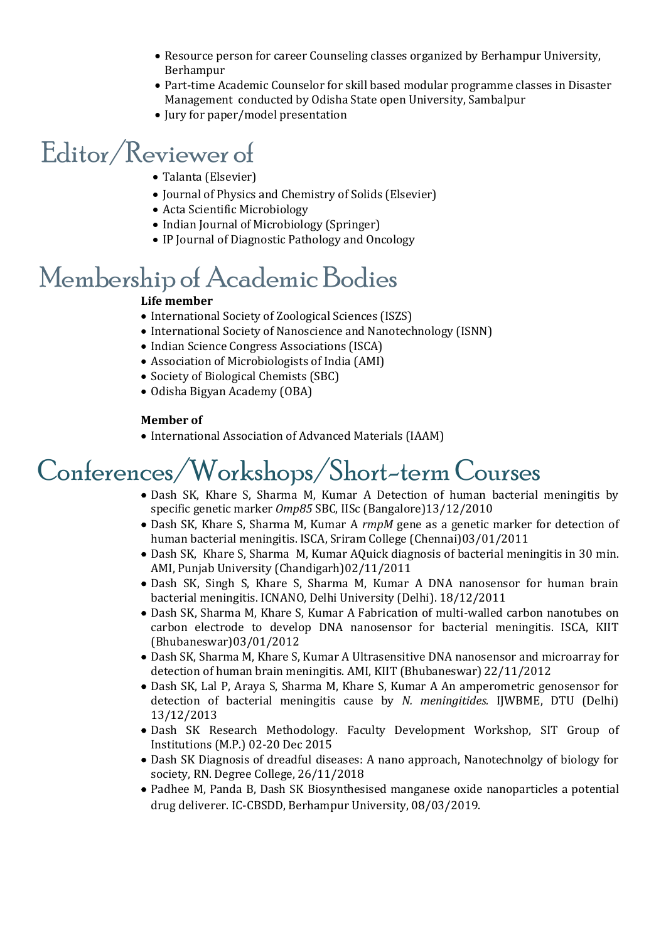- Resource person for career Counseling classes organized by Berhampur University, Berhampur
- Part-time Academic Counselor for skill based modular programme classes in Disaster Management conducted by Odisha State open University, Sambalpur
- Jury for paper/model presentation

# Editor/Reviewer of

- Talanta (Elsevier)
- Journal of Physics and Chemistry of Solids (Elsevier)
- Acta Scientific Microbiology
- Indian Journal of Microbiology (Springer)
- IP Journal of Diagnostic Pathology and Oncology

### Membership of Academic Bodies

#### **Life member**

- International Society of Zoological Sciences (ISZS)
- International Society of Nanoscience and Nanotechnology (ISNN)
- Indian Science Congress Associations (ISCA)
- Association of Microbiologists of India (AMI)
- Society of Biological Chemists (SBC)
- Odisha Bigyan Academy (OBA)

#### **Member of**

• International Association of Advanced Materials (IAAM)

# Conferences/Workshops/Short-term Courses

- Dash SK, Khare S, Sharma M, Kumar A Detection of human bacterial meningitis by specific genetic marker *Omp85* SBC, IISc (Bangalore)13/12/2010
- Dash SK, Khare S, Sharma M, Kumar A *rmpM* gene as a genetic marker for detection of human bacterial meningitis. ISCA, Sriram College (Chennai)03/01/2011
- Dash SK, Khare S, Sharma M, Kumar AQuick diagnosis of bacterial meningitis in 30 min. AMI, Punjab University (Chandigarh)02/11/2011
- Dash SK, Singh S, Khare S, Sharma M, Kumar A DNA nanosensor for human brain bacterial meningitis. ICNANO, Delhi University (Delhi). 18/12/2011
- Dash SK, Sharma M, Khare S, Kumar A Fabrication of multi-walled carbon nanotubes on carbon electrode to develop DNA nanosensor for bacterial meningitis. ISCA, KIIT (Bhubaneswar)03/01/2012
- Dash SK, Sharma M, Khare S, Kumar A Ultrasensitive DNA nanosensor and microarray for detection of human brain meningitis. AMI, KIIT (Bhubaneswar) 22/11/2012
- Dash SK, Lal P, Araya S, Sharma M, Khare S, Kumar A An amperometric genosensor for detection of bacterial meningitis cause by *N. meningitides.* IJWBME, DTU (Delhi) 13/12/2013
- Dash SK Research Methodology. Faculty Development Workshop, SIT Group of Institutions (M.P.) 02-20 Dec 2015
- Dash SK Diagnosis of dreadful diseases: A nano approach, Nanotechnolgy of biology for society, RN. Degree College, 26/11/2018
- Padhee M, Panda B, Dash SK Biosynthesised manganese oxide nanoparticles a potential drug deliverer. IC-CBSDD, Berhampur University, 08/03/2019.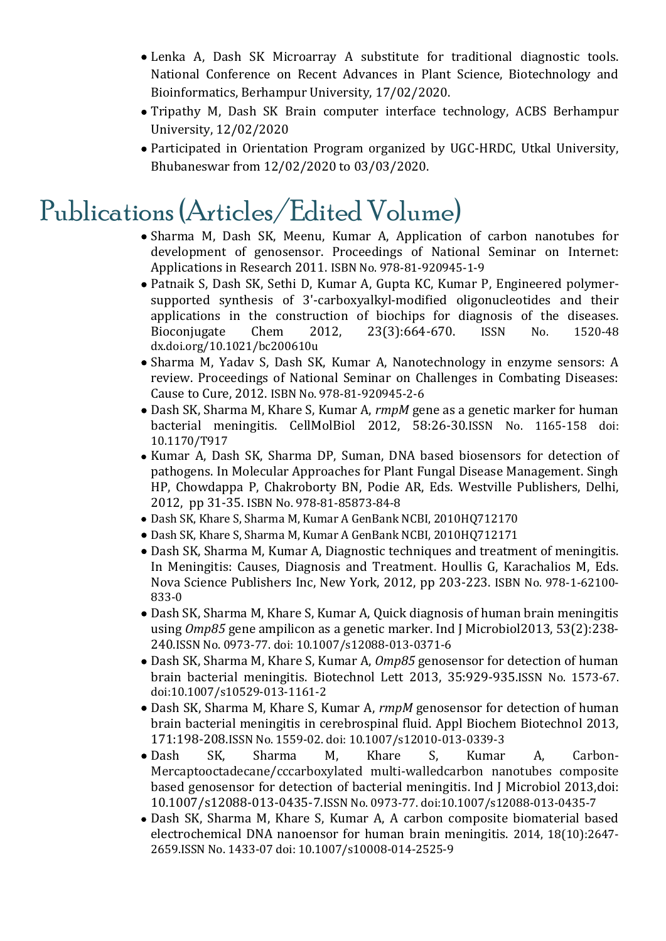- Lenka A, Dash SK Microarray A substitute for traditional diagnostic tools. National Conference on Recent Advances in Plant Science, Biotechnology and Bioinformatics, Berhampur University, 17/02/2020.
- Tripathy M, Dash SK Brain computer interface technology, ACBS Berhampur University, 12/02/2020
- Participated in Orientation Program organized by UGC-HRDC, Utkal University, Bhubaneswar from 12/02/2020 to 03/03/2020.

# Publications (Articles/Edited Volume)

- Sharma M, Dash SK, Meenu, Kumar A, Application of carbon nanotubes for development of genosensor. Proceedings of National Seminar on Internet: Applications in Research 2011. ISBN No. 978-81-920945-1-9
- Patnaik S, Dash SK, Sethi D, Kumar A, Gupta KC, Kumar P, Engineered polymersupported synthesis of 3'-carboxyalkyl-modified oligonucleotides and their applications in the construction of biochips for diagnosis of the diseases. Bioconjugate Chem 2012, 23(3):664-670. ISSN No. 1520-48 dx.doi.org/10.1021/bc200610u
- Sharma M, Yaday S, Dash SK, Kumar A, Nanotechnology in enzyme sensors: A review. Proceedings of National Seminar on Challenges in Combating Diseases: Cause to Cure, 2012. ISBN No. 978-81-920945-2-6
- Dash SK, Sharma M, Khare S, Kumar A, *rmpM* gene as a genetic marker for human bacterial meningitis. CellMolBiol 2012, 58:26-30.ISSN No. 1165-158 doi: 10.1170/T917
- Kumar A, Dash SK, Sharma DP, Suman, DNA based biosensors for detection of pathogens. In Molecular Approaches for Plant Fungal Disease Management. Singh HP, Chowdappa P, Chakroborty BN, Podie AR, Eds. Westville Publishers, Delhi, 2012, pp 31-35. ISBN No. 978-81-85873-84-8
- Dash SK, Khare S, Sharma M, Kumar A GenBank NCBI, 2010HQ712170
- Dash SK, Khare S, Sharma M, Kumar A GenBank NCBI, 2010HQ712171
- Dash SK, Sharma M, Kumar A, Diagnostic techniques and treatment of meningitis. In Meningitis: Causes, Diagnosis and Treatment. Houllis G, Karachalios M, Eds. Nova Science Publishers Inc, New York, 2012, pp 203-223. ISBN No. 978-1-62100- 833-0
- Dash SK, Sharma M, Khare S, Kumar A, Quick diagnosis of human brain meningitis using *Omp85* gene ampilicon as a genetic marker. Ind J Microbiol2013, 53(2):238- 240.ISSN No. 0973-77. doi: 10.1007/s12088-013-0371-6
- Dash SK, Sharma M, Khare S, Kumar A, *Omp85* genosensor for detection of human brain bacterial meningitis. Biotechnol Lett 2013, 35:929-935.ISSN No. 1573-67. doi:10.1007/s10529-013-1161-2
- Dash SK, Sharma M, Khare S, Kumar A, *rmpM* genosensor for detection of human brain bacterial meningitis in cerebrospinal fluid. Appl Biochem Biotechnol 2013, 171:198-208.ISSN No. 1559-02. doi: 10.1007/s12010-013-0339-3
- Dash SK, Sharma M, Khare S, Kumar A, Carbon-Mercaptooctadecane/cccarboxylated multi-walledcarbon nanotubes composite based genosensor for detection of bacterial meningitis. Ind J Microbiol 2013,doi: 10.1007/s12088-013-0435-7.ISSN No. 0973-77. doi:10.1007/s12088-013-0435-7
- Dash SK, Sharma M, Khare S, Kumar A, A carbon composite biomaterial based electrochemical DNA nanoensor for human brain meningitis. 2014, 18(10):2647- 2659.ISSN No. 1433-07 doi: 10.1007/s10008-014-2525-9